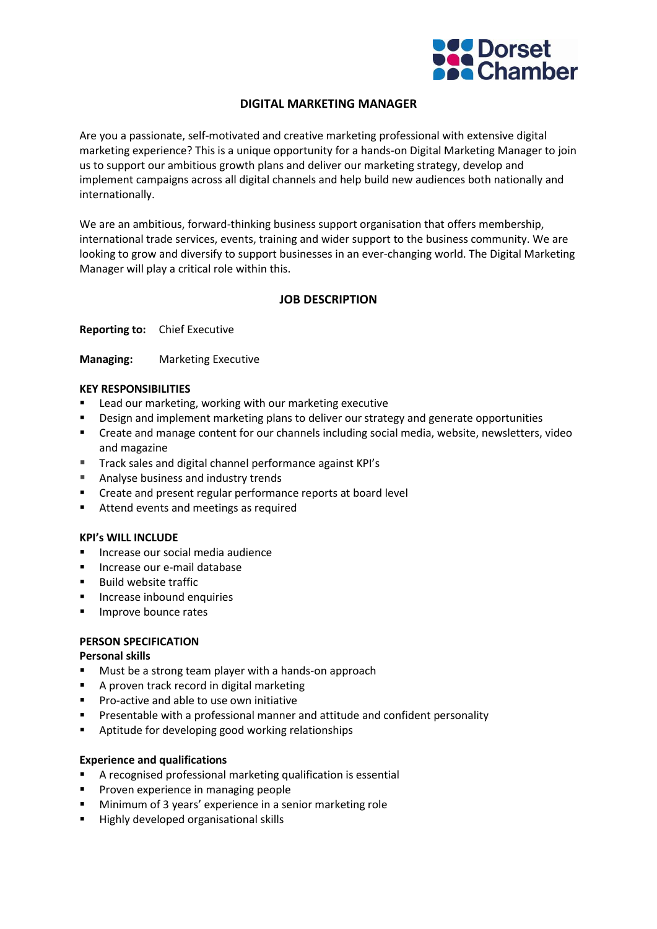

# **DIGITAL MARKETING MANAGER**

Are you a passionate, self-motivated and creative marketing professional with extensive digital marketing experience? This is a unique opportunity for a hands-on Digital Marketing Manager to join us to support our ambitious growth plans and deliver our marketing strategy, develop and implement campaigns across all digital channels and help build new audiences both nationally and internationally.

We are an ambitious, forward-thinking business support organisation that offers membership, international trade services, events, training and wider support to the business community. We are looking to grow and diversify to support businesses in an ever-changing world. The Digital Marketing Manager will play a critical role within this.

# **JOB DESCRIPTION**

**Reporting to:** Chief Executive

**Managing:** Marketing Executive

### **KEY RESPONSIBILITIES**

- Lead our marketing, working with our marketing executive
- **•** Design and implement marketing plans to deliver our strategy and generate opportunities
- Create and manage content for our channels including social media, website, newsletters, video and magazine
- Track sales and digital channel performance against KPI's
- Analyse business and industry trends
- Create and present regular performance reports at board level
- Attend events and meetings as required

#### **KPI's WILL INCLUDE**

- Increase our social media audience
- Increase our e-mail database
- Build website traffic
- Increase inbound enquiries
- **■** Improve bounce rates

#### **PERSON SPECIFICATION**

#### **Personal skills**

- Must be a strong team player with a hands-on approach
- A proven track record in digital marketing
- Pro-active and able to use own initiative
- **E** Presentable with a professional manner and attitude and confident personality
- Aptitude for developing good working relationships

#### **Experience and qualifications**

- A recognised professional marketing qualification is essential
- **•** Proven experience in managing people
- Minimum of 3 years' experience in a senior marketing role
- Highly developed organisational skills